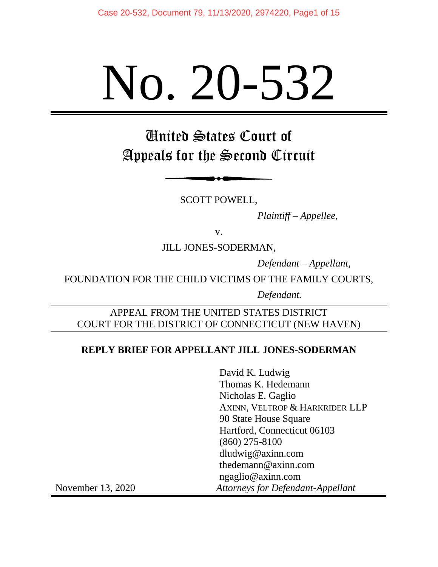# No. 20-532

United States Court of Appeals for the Second Circuit

SCOTT POWELL,

*Plaintiff – Appellee,*

v.

JILL JONES-SODERMAN,

*Defendant – Appellant*,

FOUNDATION FOR THE CHILD VICTIMS OF THE FAMILY COURTS,

*Defendant.*

# APPEAL FROM THE UNITED STATES DISTRICT COURT FOR THE DISTRICT OF CONNECTICUT (NEW HAVEN)

## **REPLY BRIEF FOR APPELLANT JILL JONES-SODERMAN**

David K. Ludwig Thomas K. Hedemann Nicholas E. Gaglio AXINN, VELTROP & HARKRIDER LLP 90 State House Square Hartford, Connecticut 06103 (860) 275-8100 dludwig@axinn.com thedemann@axinn.com ngaglio@axinn.com November 13, 2020 *Attorneys for Defendant-Appellant*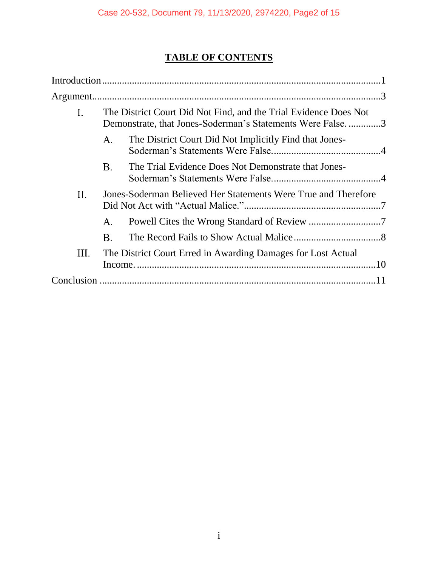# **TABLE OF CONTENTS**

| Ι.   | The District Court Did Not Find, and the Trial Evidence Does Not<br>Demonstrate, that Jones-Soderman's Statements Were False3 |                                                        |  |
|------|-------------------------------------------------------------------------------------------------------------------------------|--------------------------------------------------------|--|
|      | Α.                                                                                                                            | The District Court Did Not Implicitly Find that Jones- |  |
|      | B.                                                                                                                            | The Trial Evidence Does Not Demonstrate that Jones-    |  |
| П.   | Jones-Soderman Believed Her Statements Were True and Therefore                                                                |                                                        |  |
|      | Α.                                                                                                                            |                                                        |  |
|      | Β.                                                                                                                            |                                                        |  |
| III. | The District Court Erred in Awarding Damages for Lost Actual                                                                  |                                                        |  |
|      |                                                                                                                               |                                                        |  |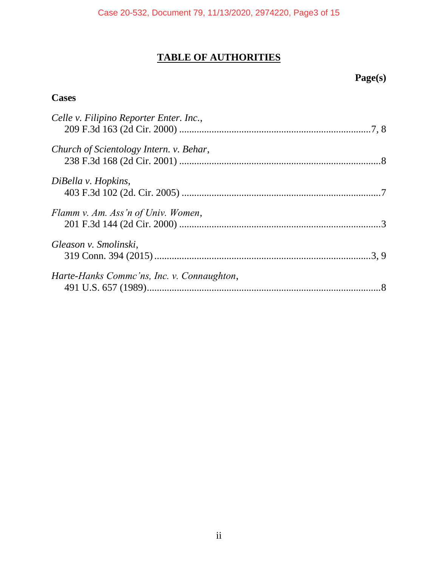# **TABLE OF AUTHORITIES**

# **Page(s)**

# **Cases**

| Celle v. Filipino Reporter Enter. Inc.,    |  |
|--------------------------------------------|--|
| Church of Scientology Intern. v. Behar,    |  |
| DiBella v. Hopkins,                        |  |
| Flamm v. Am. Ass'n of Univ. Women,         |  |
| Gleason v. Smolinski,                      |  |
| Harte-Hanks Commc'ns, Inc. v. Connaughton, |  |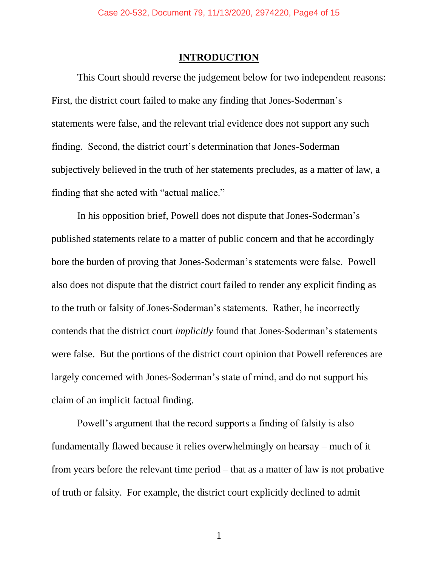# **INTRODUCTION**

<span id="page-3-0"></span>This Court should reverse the judgement below for two independent reasons: First, the district court failed to make any finding that Jones-Soderman's statements were false, and the relevant trial evidence does not support any such finding. Second, the district court's determination that Jones-Soderman subjectively believed in the truth of her statements precludes, as a matter of law, a finding that she acted with "actual malice."

In his opposition brief, Powell does not dispute that Jones-Soderman's published statements relate to a matter of public concern and that he accordingly bore the burden of proving that Jones-Soderman's statements were false. Powell also does not dispute that the district court failed to render any explicit finding as to the truth or falsity of Jones-Soderman's statements. Rather, he incorrectly contends that the district court *implicitly* found that Jones-Soderman's statements were false. But the portions of the district court opinion that Powell references are largely concerned with Jones-Soderman's state of mind, and do not support his claim of an implicit factual finding.

Powell's argument that the record supports a finding of falsity is also fundamentally flawed because it relies overwhelmingly on hearsay – much of it from years before the relevant time period – that as a matter of law is not probative of truth or falsity. For example, the district court explicitly declined to admit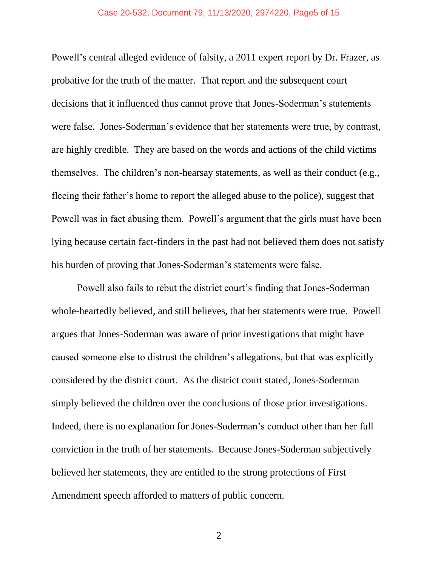## Case 20-532, Document 79, 11/13/2020, 2974220, Page5 of 15

Powell's central alleged evidence of falsity, a 2011 expert report by Dr. Frazer, as probative for the truth of the matter. That report and the subsequent court decisions that it influenced thus cannot prove that Jones-Soderman's statements were false. Jones-Soderman's evidence that her statements were true, by contrast, are highly credible. They are based on the words and actions of the child victims themselves. The children's non-hearsay statements, as well as their conduct (e.g., fleeing their father's home to report the alleged abuse to the police), suggest that Powell was in fact abusing them. Powell's argument that the girls must have been lying because certain fact-finders in the past had not believed them does not satisfy his burden of proving that Jones-Soderman's statements were false.

Powell also fails to rebut the district court's finding that Jones-Soderman whole-heartedly believed, and still believes, that her statements were true. Powell argues that Jones-Soderman was aware of prior investigations that might have caused someone else to distrust the children's allegations, but that was explicitly considered by the district court. As the district court stated, Jones-Soderman simply believed the children over the conclusions of those prior investigations. Indeed, there is no explanation for Jones-Soderman's conduct other than her full conviction in the truth of her statements. Because Jones-Soderman subjectively believed her statements, they are entitled to the strong protections of First Amendment speech afforded to matters of public concern.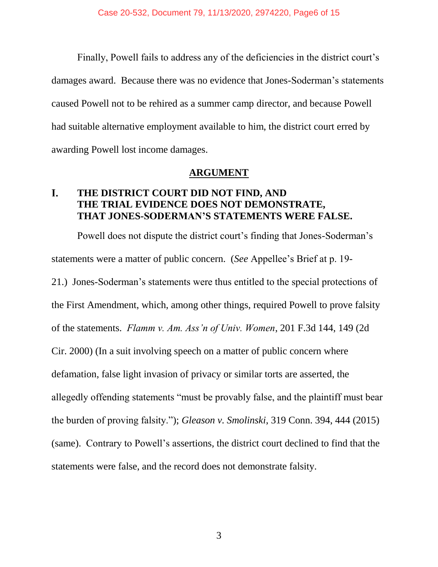Finally, Powell fails to address any of the deficiencies in the district court's damages award. Because there was no evidence that Jones-Soderman's statements caused Powell not to be rehired as a summer camp director, and because Powell had suitable alternative employment available to him, the district court erred by awarding Powell lost income damages.

## **ARGUMENT**

#### <span id="page-5-1"></span><span id="page-5-0"></span>I. **THE DISTRICT COURT DID NOT FIND, AND THE TRIAL EVIDENCE DOES NOT DEMONSTRATE, THAT JONES-SODERMAN'S STATEMENTS WERE FALSE.**

<span id="page-5-3"></span><span id="page-5-2"></span>Powell does not dispute the district court's finding that Jones-Soderman's statements were a matter of public concern. (*See* Appellee's Brief at p. 19- 21.) Jones-Soderman's statements were thus entitled to the special protections of the First Amendment, which, among other things, required Powell to prove falsity of the statements. *Flamm v. Am. Ass'n of Univ. Women*, 201 F.3d 144, 149 (2d Cir. 2000) (In a suit involving speech on a matter of public concern where defamation, false light invasion of privacy or similar torts are asserted, the allegedly offending statements "must be provably false, and the plaintiff must bear the burden of proving falsity."); *Gleason v. Smolinski*, 319 Conn. 394, 444 (2015) (same). Contrary to Powell's assertions, the district court declined to find that the statements were false, and the record does not demonstrate falsity.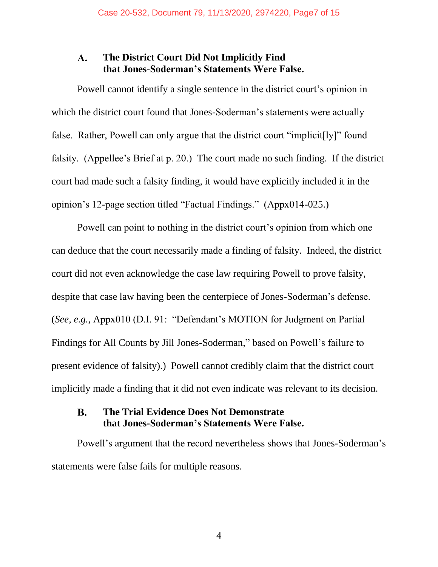#### <span id="page-6-0"></span>**The District Court Did Not Implicitly Find**  ${\bf A}$ . **that Jones-Soderman's Statements Were False.**

Powell cannot identify a single sentence in the district court's opinion in which the district court found that Jones-Soderman's statements were actually false. Rather, Powell can only argue that the district court "implicit[ly]" found falsity. (Appellee's Brief at p. 20.) The court made no such finding. If the district court had made such a falsity finding, it would have explicitly included it in the opinion's 12-page section titled "Factual Findings." (Appx014-025.)

Powell can point to nothing in the district court's opinion from which one can deduce that the court necessarily made a finding of falsity. Indeed, the district court did not even acknowledge the case law requiring Powell to prove falsity, despite that case law having been the centerpiece of Jones-Soderman's defense. (*See, e.g.*, Appx010 (D.I. 91: "Defendant's MOTION for Judgment on Partial Findings for All Counts by Jill Jones-Soderman," based on Powell's failure to present evidence of falsity).) Powell cannot credibly claim that the district court implicitly made a finding that it did not even indicate was relevant to its decision.

#### <span id="page-6-1"></span>**B. The Trial Evidence Does Not Demonstrate that Jones-Soderman's Statements Were False.**

Powell's argument that the record nevertheless shows that Jones-Soderman's statements were false fails for multiple reasons.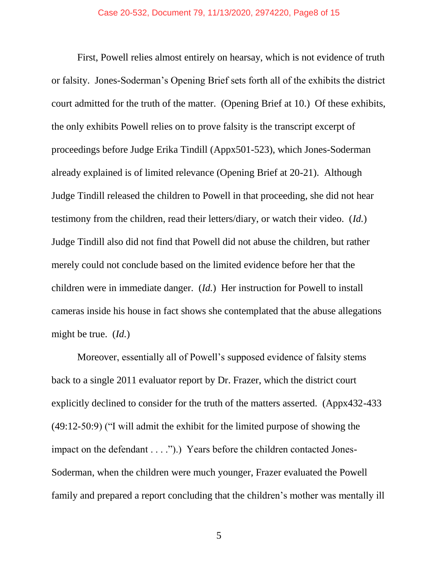First, Powell relies almost entirely on hearsay, which is not evidence of truth or falsity. Jones-Soderman's Opening Brief sets forth all of the exhibits the district court admitted for the truth of the matter. (Opening Brief at 10.) Of these exhibits, the only exhibits Powell relies on to prove falsity is the transcript excerpt of proceedings before Judge Erika Tindill (Appx501-523), which Jones-Soderman already explained is of limited relevance (Opening Brief at 20-21). Although Judge Tindill released the children to Powell in that proceeding, she did not hear testimony from the children, read their letters/diary, or watch their video. (*Id.*) Judge Tindill also did not find that Powell did not abuse the children, but rather merely could not conclude based on the limited evidence before her that the children were in immediate danger. (*Id.*) Her instruction for Powell to install cameras inside his house in fact shows she contemplated that the abuse allegations might be true. (*Id.*)

Moreover, essentially all of Powell's supposed evidence of falsity stems back to a single 2011 evaluator report by Dr. Frazer, which the district court explicitly declined to consider for the truth of the matters asserted. (Appx432-433 (49:12-50:9) ("I will admit the exhibit for the limited purpose of showing the impact on the defendant . . . .").) Years before the children contacted Jones-Soderman, when the children were much younger, Frazer evaluated the Powell family and prepared a report concluding that the children's mother was mentally ill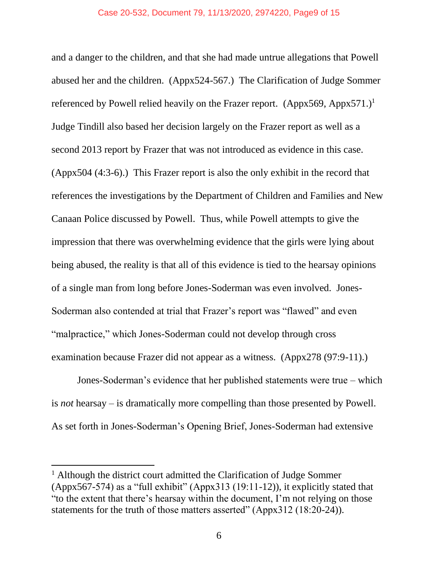and a danger to the children, and that she had made untrue allegations that Powell abused her and the children. (Appx524-567.) The Clarification of Judge Sommer referenced by Powell relied heavily on the Frazer report. (Appx569, Appx571.)<sup>1</sup> Judge Tindill also based her decision largely on the Frazer report as well as a second 2013 report by Frazer that was not introduced as evidence in this case. (Appx504 (4:3-6).) This Frazer report is also the only exhibit in the record that references the investigations by the Department of Children and Families and New Canaan Police discussed by Powell. Thus, while Powell attempts to give the impression that there was overwhelming evidence that the girls were lying about being abused, the reality is that all of this evidence is tied to the hearsay opinions of a single man from long before Jones-Soderman was even involved. Jones-Soderman also contended at trial that Frazer's report was "flawed" and even "malpractice," which Jones-Soderman could not develop through cross examination because Frazer did not appear as a witness. (Appx278 (97:9-11).)

Jones-Soderman's evidence that her published statements were true – which is *not* hearsay – is dramatically more compelling than those presented by Powell. As set forth in Jones-Soderman's Opening Brief, Jones-Soderman had extensive

 $\overline{a}$ 

<sup>&</sup>lt;sup>1</sup> Although the district court admitted the Clarification of Judge Sommer (Appx567-574) as a "full exhibit" (Appx313 (19:11-12)), it explicitly stated that "to the extent that there's hearsay within the document, I'm not relying on those statements for the truth of those matters asserted" (Appx312 (18:20-24)).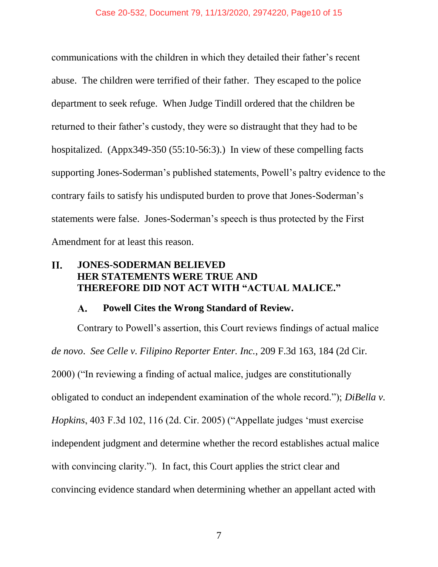communications with the children in which they detailed their father's recent abuse. The children were terrified of their father. They escaped to the police department to seek refuge. When Judge Tindill ordered that the children be returned to their father's custody, they were so distraught that they had to be hospitalized. (Appx349-350 (55:10-56:3).) In view of these compelling facts supporting Jones-Soderman's published statements, Powell's paltry evidence to the contrary fails to satisfy his undisputed burden to prove that Jones-Soderman's statements were false. Jones-Soderman's speech is thus protected by the First Amendment for at least this reason.

#### <span id="page-9-0"></span>II. **JONES-SODERMAN BELIEVED HER STATEMENTS WERE TRUE AND THEREFORE DID NOT ACT WITH "ACTUAL MALICE."**

#### <span id="page-9-3"></span><span id="page-9-2"></span> $\mathbf{A}$ . **Powell Cites the Wrong Standard of Review.**

<span id="page-9-1"></span>Contrary to Powell's assertion, this Court reviews findings of actual malice *de novo*. *See Celle v. Filipino Reporter Enter. Inc.*, 209 F.3d 163, 184 (2d Cir. 2000) ("In reviewing a finding of actual malice, judges are constitutionally obligated to conduct an independent examination of the whole record."); *DiBella v. Hopkins*, 403 F.3d 102, 116 (2d. Cir. 2005) ("Appellate judges 'must exercise independent judgment and determine whether the record establishes actual malice with convincing clarity."). In fact, this Court applies the strict clear and convincing evidence standard when determining whether an appellant acted with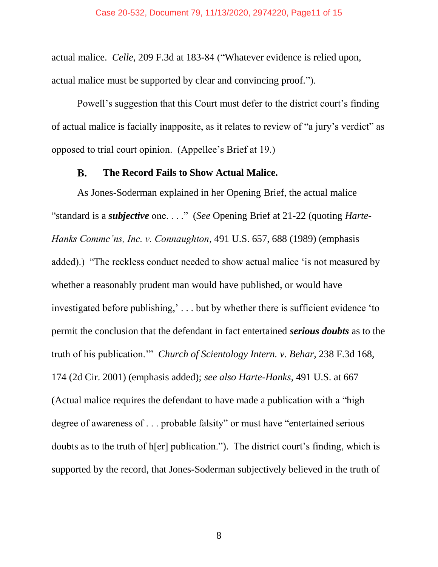<span id="page-10-1"></span>actual malice. *Celle*, 209 F.3d at 183-84 ("Whatever evidence is relied upon, actual malice must be supported by clear and convincing proof.").

Powell's suggestion that this Court must defer to the district court's finding of actual malice is facially inapposite, as it relates to review of "a jury's verdict" as opposed to trial court opinion. (Appellee's Brief at 19.)

#### <span id="page-10-3"></span>**B. The Record Fails to Show Actual Malice.**

<span id="page-10-2"></span><span id="page-10-0"></span>As Jones-Soderman explained in her Opening Brief, the actual malice "standard is a *subjective* one. . . ." (*See* Opening Brief at 21-22 (quoting *Harte-Hanks Commc'ns, Inc. v. Connaughton*, 491 U.S. 657, 688 (1989) (emphasis added).) "The reckless conduct needed to show actual malice 'is not measured by whether a reasonably prudent man would have published, or would have investigated before publishing,' . . . but by whether there is sufficient evidence 'to permit the conclusion that the defendant in fact entertained *serious doubts* as to the truth of his publication.'" *Church of Scientology Intern. v. Behar*, 238 F.3d 168, 174 (2d Cir. 2001) (emphasis added); *see also Harte-Hanks*, 491 U.S. at 667 (Actual malice requires the defendant to have made a publication with a "high degree of awareness of . . . probable falsity" or must have "entertained serious doubts as to the truth of h[er] publication."). The district court's finding, which is supported by the record, that Jones-Soderman subjectively believed in the truth of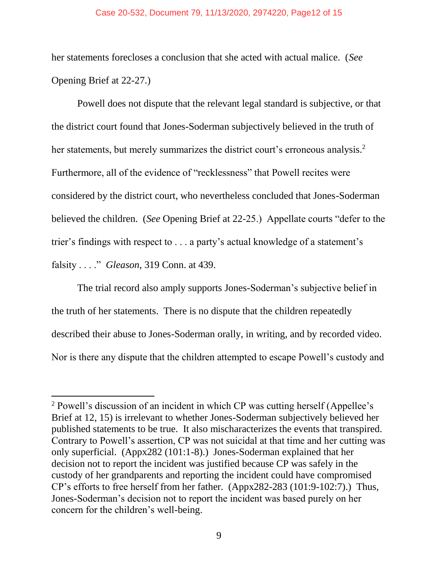### Case 20-532, Document 79, 11/13/2020, 2974220, Page12 of 15

her statements forecloses a conclusion that she acted with actual malice. (*See* Opening Brief at 22-27.)

Powell does not dispute that the relevant legal standard is subjective, or that the district court found that Jones-Soderman subjectively believed in the truth of her statements, but merely summarizes the district court's erroneous analysis.<sup>2</sup> Furthermore, all of the evidence of "recklessness" that Powell recites were considered by the district court, who nevertheless concluded that Jones-Soderman believed the children. (*See* Opening Brief at 22-25.) Appellate courts "defer to the trier's findings with respect to . . . a party's actual knowledge of a statement's falsity . . . ." *Gleason*, 319 Conn. at 439.

<span id="page-11-0"></span>The trial record also amply supports Jones-Soderman's subjective belief in the truth of her statements. There is no dispute that the children repeatedly described their abuse to Jones-Soderman orally, in writing, and by recorded video. Nor is there any dispute that the children attempted to escape Powell's custody and

 $\overline{a}$ 

<sup>&</sup>lt;sup>2</sup> Powell's discussion of an incident in which CP was cutting herself (Appellee's Brief at 12, 15) is irrelevant to whether Jones-Soderman subjectively believed her published statements to be true. It also mischaracterizes the events that transpired. Contrary to Powell's assertion, CP was not suicidal at that time and her cutting was only superficial. (Appx282 (101:1-8).) Jones-Soderman explained that her decision not to report the incident was justified because CP was safely in the custody of her grandparents and reporting the incident could have compromised CP's efforts to free herself from her father. (Appx282-283 (101:9-102:7).) Thus, Jones-Soderman's decision not to report the incident was based purely on her concern for the children's well-being.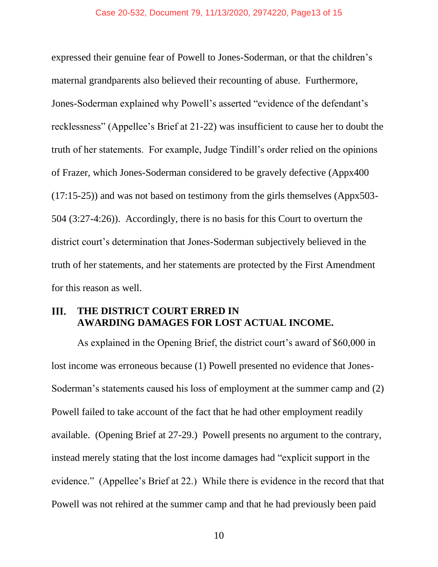expressed their genuine fear of Powell to Jones-Soderman, or that the children's maternal grandparents also believed their recounting of abuse. Furthermore, Jones-Soderman explained why Powell's asserted "evidence of the defendant's recklessness" (Appellee's Brief at 21-22) was insufficient to cause her to doubt the truth of her statements. For example, Judge Tindill's order relied on the opinions of Frazer, which Jones-Soderman considered to be gravely defective (Appx400 (17:15-25)) and was not based on testimony from the girls themselves (Appx503- 504 (3:27-4:26)). Accordingly, there is no basis for this Court to overturn the district court's determination that Jones-Soderman subjectively believed in the truth of her statements, and her statements are protected by the First Amendment for this reason as well.

#### <span id="page-12-0"></span>Ш. **THE DISTRICT COURT ERRED IN AWARDING DAMAGES FOR LOST ACTUAL INCOME.**

As explained in the Opening Brief, the district court's award of \$60,000 in lost income was erroneous because (1) Powell presented no evidence that Jones-Soderman's statements caused his loss of employment at the summer camp and (2) Powell failed to take account of the fact that he had other employment readily available. (Opening Brief at 27-29.) Powell presents no argument to the contrary, instead merely stating that the lost income damages had "explicit support in the evidence." (Appellee's Brief at 22.) While there is evidence in the record that that Powell was not rehired at the summer camp and that he had previously been paid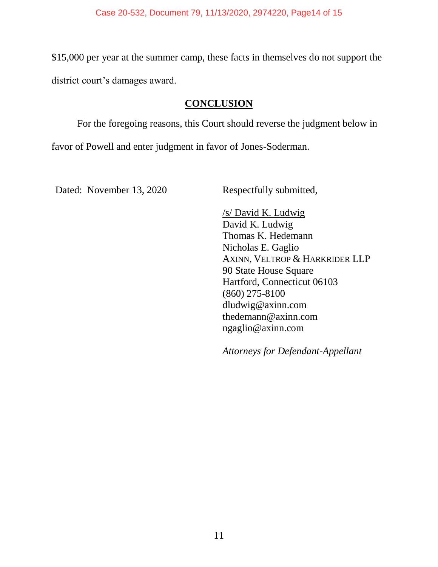\$15,000 per year at the summer camp, these facts in themselves do not support the district court's damages award.

# **CONCLUSION**

<span id="page-13-0"></span>For the foregoing reasons, this Court should reverse the judgment below in

favor of Powell and enter judgment in favor of Jones-Soderman.

Dated: November 13, 2020 Respectfully submitted,

/s/ David K. Ludwig David K. Ludwig Thomas K. Hedemann Nicholas E. Gaglio AXINN, VELTROP & HARKRIDER LLP 90 State House Square Hartford, Connecticut 06103 (860) 275-8100 dludwig@axinn.com thedemann@axinn.com ngaglio@axinn.com

*Attorneys for Defendant-Appellant*